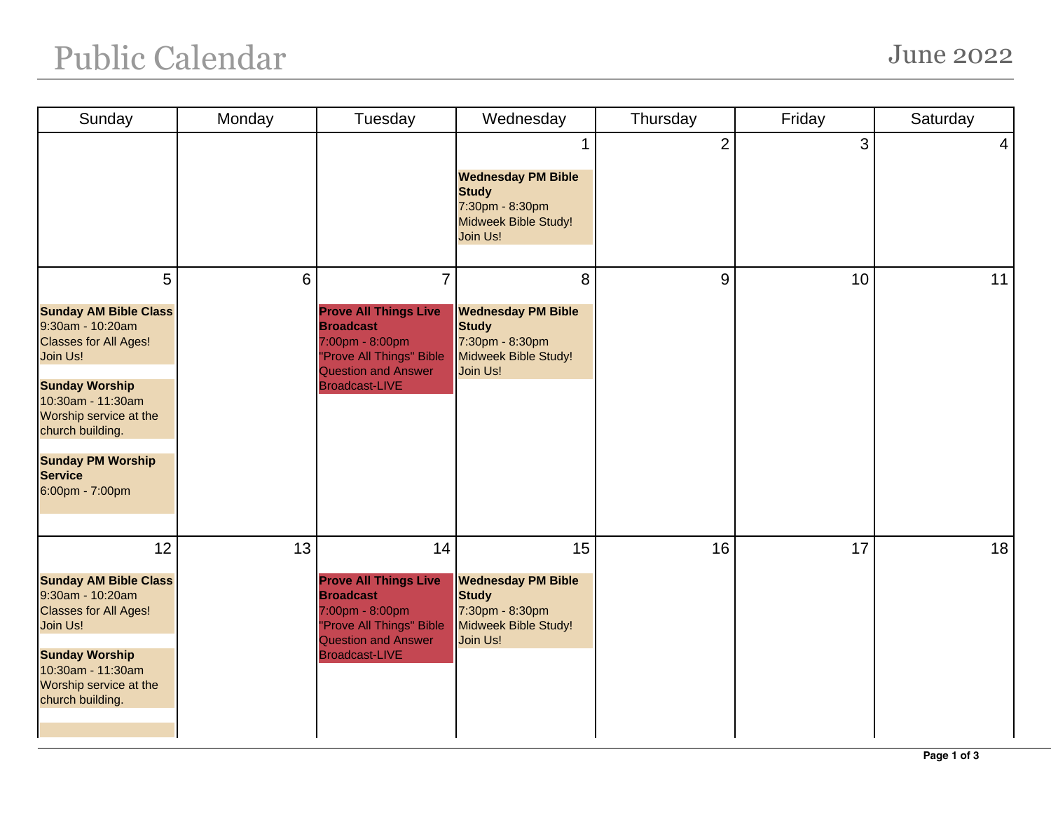## Public Calendar June 2022

| Sunday                                                                                                                                                                                                                                                         | Monday | Tuesday                                                                                                                                                                  | Wednesday                                                                                              | Thursday       | Friday | Saturday       |
|----------------------------------------------------------------------------------------------------------------------------------------------------------------------------------------------------------------------------------------------------------------|--------|--------------------------------------------------------------------------------------------------------------------------------------------------------------------------|--------------------------------------------------------------------------------------------------------|----------------|--------|----------------|
|                                                                                                                                                                                                                                                                |        |                                                                                                                                                                          | <b>Wednesday PM Bible</b><br><b>Study</b><br>7:30pm - 8:30pm<br>Midweek Bible Study!<br>Join Us!       | $\overline{2}$ | 3      | $\overline{4}$ |
| 5<br><b>Sunday AM Bible Class</b><br>9:30am - 10:20am<br><b>Classes for All Ages!</b><br>Join Us!<br><b>Sunday Worship</b><br>10:30am - 11:30am<br>Worship service at the<br>church building.<br><b>Sunday PM Worship</b><br><b>Service</b><br>6:00pm - 7:00pm | 6      | $\overline{7}$<br><b>Prove All Things Live</b><br><b>Broadcast</b><br>7:00pm - 8:00pm<br>"Prove All Things" Bible<br><b>Question and Answer</b><br><b>Broadcast-LIVE</b> | 8<br><b>Wednesday PM Bible</b><br><b>Study</b><br>7:30pm - 8:30pm<br>Midweek Bible Study!<br>Join Us!  | 9              | 10     | 11             |
| 12<br><b>Sunday AM Bible Class</b><br>9:30am - 10:20am<br><b>Classes for All Ages!</b><br>Join Us!<br><b>Sunday Worship</b><br>10:30am - 11:30am<br>Worship service at the<br>church building.                                                                 | 13     | 14<br><b>Prove All Things Live</b><br><b>Broadcast</b><br>7:00pm - 8:00pm<br>"Prove All Things" Bible<br><b>Question and Answer</b><br><b>Broadcast-LIVE</b>             | 15<br><b>Wednesday PM Bible</b><br><b>Study</b><br>7:30pm - 8:30pm<br>Midweek Bible Study!<br>Join Us! | 16             | 17     | 18             |